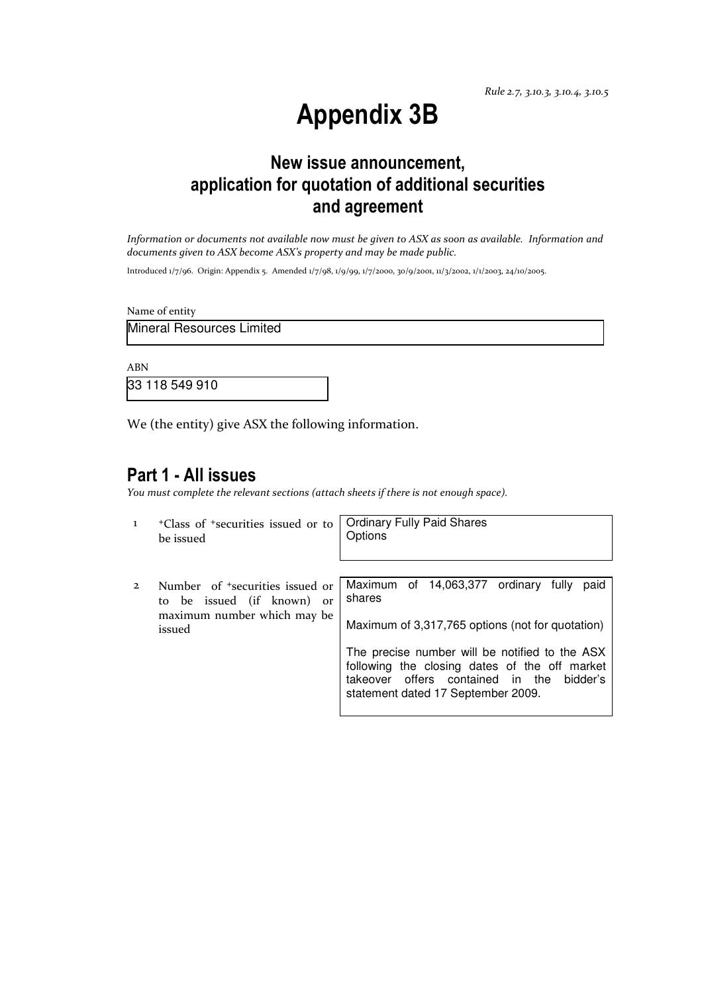Rule 2.7, 3.10.3, 3.10.4, 3.10.5

# Appendix 3B

## New issue announcement, application for quotation of additional securities and agreement

Information or documents not available now must be given to ASX as soon as available. Information and documents given to ASX become ASX's property and may be made public.

Introduced 1/7/96. Origin: Appendix 5. Amended 1/7/98, 1/9/99, 1/7/2000, 30/9/2001, 11/3/2002, 1/1/2003, 24/10/2005.

Name of entity

Mineral Resources Limited

ABN

33 118 549 910

We (the entity) give ASX the following information.

### Part 1 - All issues

You must complete the relevant sections (attach sheets if there is not enough space).

| $\mathbf{I}$   | <sup>+</sup> Class of <sup>+</sup> securities issued or to<br>be issued                                            | <b>Ordinary Fully Paid Shares</b><br>Options                                                                                                                                                                                                                                                           |
|----------------|--------------------------------------------------------------------------------------------------------------------|--------------------------------------------------------------------------------------------------------------------------------------------------------------------------------------------------------------------------------------------------------------------------------------------------------|
| $\overline{2}$ | Number of <sup>+</sup> securities issued or<br>to be issued (if known) or<br>maximum number which may be<br>issued | Maximum of 14,063,377 ordinary fully<br>paid<br>shares<br>Maximum of 3,317,765 options (not for quotation)<br>The precise number will be notified to the ASX<br>following the closing dates of the off market<br>offers contained in the<br>bidder's<br>takeover<br>statement dated 17 September 2009. |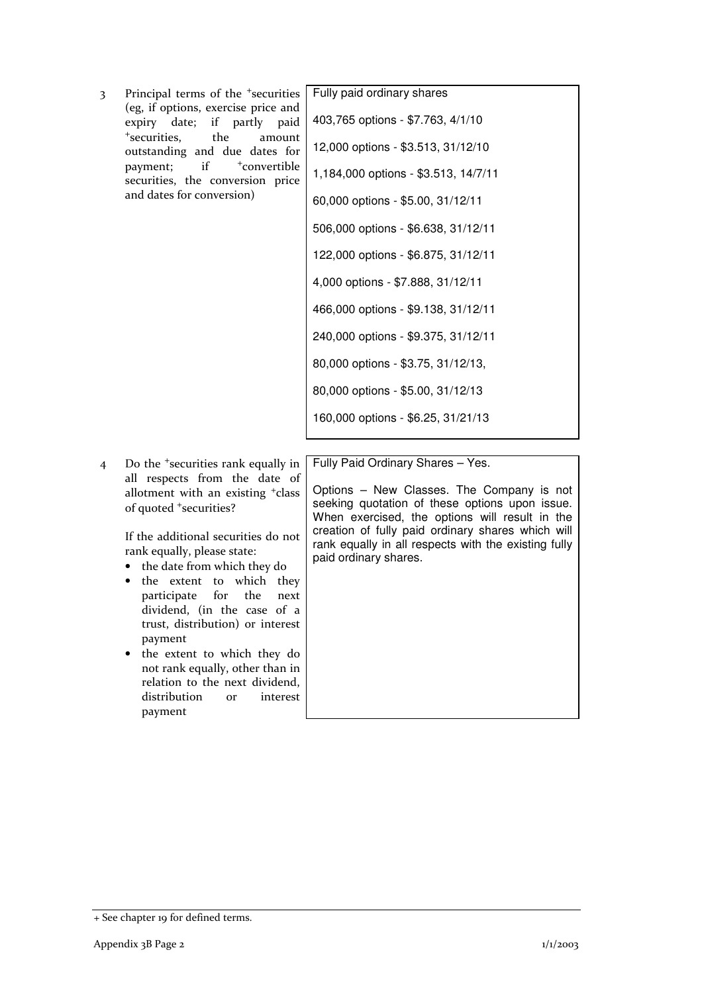3 Principal terms of the <sup>+</sup>securities (eg, if options, exercise price and expiry date; if partly paid <sup>+</sup>securities, the amount outstanding and due dates for payment; if  $+$ convertible securities, the conversion price and dates for conversion)

| Fully paid ordinary shares           |
|--------------------------------------|
| 403,765 options - \$7.763, 4/1/10    |
| 12,000 options - \$3.513, 31/12/10   |
| 1,184,000 options - \$3.513, 14/7/11 |
| 60,000 options - \$5.00, 31/12/11    |
| 506,000 options - \$6.638, 31/12/11  |
| 122,000 options - \$6.875, 31/12/11  |
| 4,000 options - \$7.888, 31/12/11    |
| 466,000 options - \$9.138, 31/12/11  |
| 240,000 options - \$9.375, 31/12/11  |
| 80,000 options - \$3.75, 31/12/13,   |
| 80,000 options - \$5.00, 31/12/13    |
| 160,000 options - \$6.25, 31/21/13   |
|                                      |

4 Do the <sup>+</sup>securities rank equally in all respects from the date of allotment with an existing <sup>+</sup>class of quoted <sup>+</sup>securities?

> If the additional securities do not rank equally, please state:

- the date from which they do
- the extent to which they participate for the next dividend, (in the case of a trust, distribution) or interest payment
- the extent to which they do not rank equally, other than in relation to the next dividend, distribution or interest payment

Fully Paid Ordinary Shares – Yes.

Options – New Classes. The Company is not seeking quotation of these options upon issue. When exercised, the options will result in the creation of fully paid ordinary shares which will rank equally in all respects with the existing fully paid ordinary shares.

<sup>+</sup> See chapter 19 for defined terms.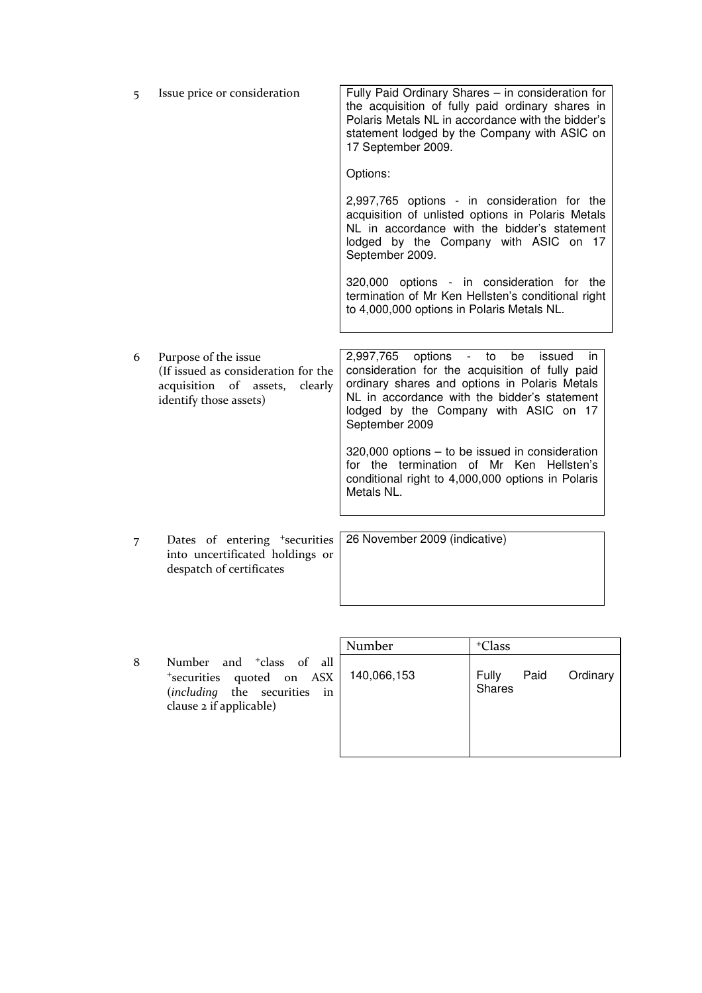| 5 | Issue price or consideration                                                                                               | Fully Paid Ordinary Shares - in consideration for<br>the acquisition of fully paid ordinary shares in<br>Polaris Metals NL in accordance with the bidder's<br>statement lodged by the Company with ASIC on<br>17 September 2009.                                   |
|---|----------------------------------------------------------------------------------------------------------------------------|--------------------------------------------------------------------------------------------------------------------------------------------------------------------------------------------------------------------------------------------------------------------|
|   |                                                                                                                            | Options:                                                                                                                                                                                                                                                           |
|   |                                                                                                                            | 2,997,765 options - in consideration for the<br>acquisition of unlisted options in Polaris Metals<br>NL in accordance with the bidder's statement<br>lodged by the Company with ASIC on<br>17<br>September 2009.                                                   |
|   |                                                                                                                            | 320,000 options - in consideration for the<br>termination of Mr Ken Hellsten's conditional right<br>to 4,000,000 options in Polaris Metals NL.                                                                                                                     |
| 6 | Purpose of the issue<br>(If issued as consideration for the<br>acquisition of assets,<br>clearly<br>identify those assets) | options<br>2,997,765<br>- to<br>be<br>issued<br>in.<br>consideration for the acquisition of fully paid<br>ordinary shares and options in Polaris Metals<br>NL in accordance with the bidder's statement<br>lodged by the Company with ASIC on 17<br>September 2009 |
|   |                                                                                                                            | $320,000$ options $-$ to be issued in consideration<br>for the termination of Mr Ken Hellsten's<br>conditional right to 4,000,000 options in Polaris<br>Metals NL.                                                                                                 |
|   |                                                                                                                            |                                                                                                                                                                                                                                                                    |
| 7 | Dates of entering <sup>+</sup> securities<br>into uncertificated holdings or<br>despatch of certificates                   | 26 November 2009 (indicative)                                                                                                                                                                                                                                      |

|   |                                                                                                                              | Number      | <sup>+</sup> Class                         |
|---|------------------------------------------------------------------------------------------------------------------------------|-------------|--------------------------------------------|
| 8 | Number and <sup>+</sup> class of all<br>*securities quoted on ASX<br>(including the securities in<br>clause 2 if applicable) | 140,066,153 | Paid<br>Ordinary<br><b>Fully</b><br>Shares |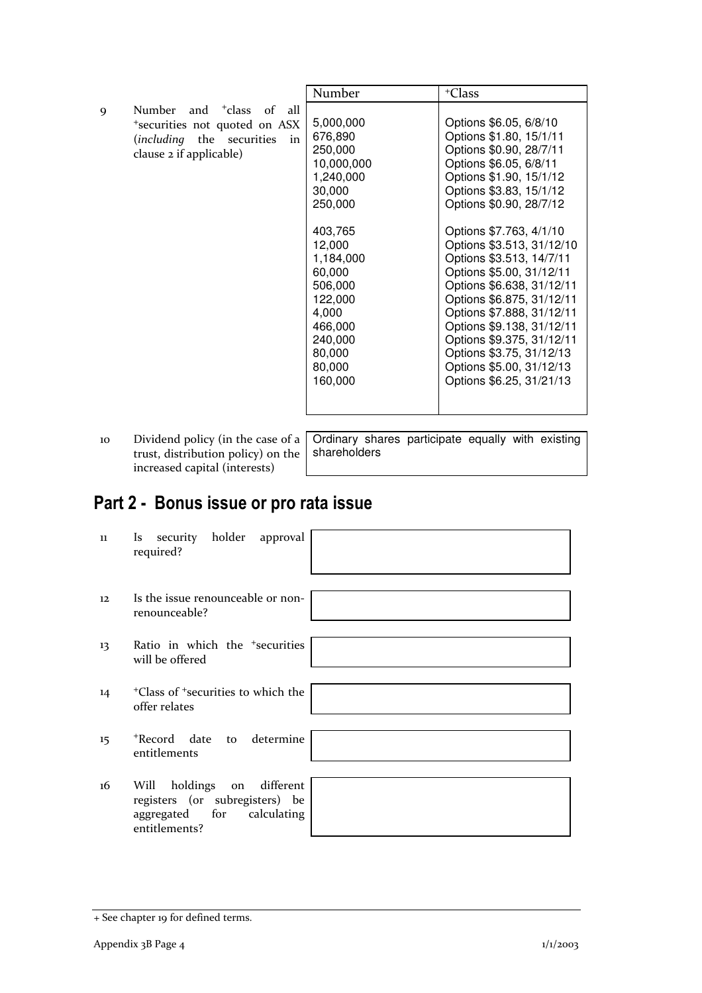|             |                                                                                                                                        | Number                                                                                                                                                                                                          | <sup>+</sup> Class                                                                                                                                                                                                                                                                                                                                                                                                                                                                                                                           |
|-------------|----------------------------------------------------------------------------------------------------------------------------------------|-----------------------------------------------------------------------------------------------------------------------------------------------------------------------------------------------------------------|----------------------------------------------------------------------------------------------------------------------------------------------------------------------------------------------------------------------------------------------------------------------------------------------------------------------------------------------------------------------------------------------------------------------------------------------------------------------------------------------------------------------------------------------|
| $\mathbf Q$ | Number and <sup>+</sup> class of<br>all<br>*securities not quoted on ASX<br>(including the securities<br>in<br>clause 2 if applicable) | 5,000,000<br>676,890<br>250,000<br>10,000,000<br>1,240,000<br>30,000<br>250,000<br>403,765<br>12,000<br>1,184,000<br>60,000<br>506,000<br>122,000<br>4,000<br>466,000<br>240,000<br>80,000<br>80,000<br>160,000 | Options \$6.05, 6/8/10<br>Options \$1.80, 15/1/11<br>Options \$0.90, 28/7/11<br>Options \$6.05, 6/8/11<br>Options \$1.90, 15/1/12<br>Options \$3.83, 15/1/12<br>Options \$0.90, 28/7/12<br>Options \$7.763, 4/1/10<br>Options \$3.513, 31/12/10<br>Options \$3.513, 14/7/11<br>Options \$5.00, 31/12/11<br>Options \$6.638, 31/12/11<br>Options \$6.875, 31/12/11<br>Options \$7.888, 31/12/11<br>Options \$9.138, 31/12/11<br>Options \$9.375, 31/12/11<br>Options \$3.75, 31/12/13<br>Options \$5.00, 31/12/13<br>Options \$6.25, 31/21/13 |
|             |                                                                                                                                        |                                                                                                                                                                                                                 |                                                                                                                                                                                                                                                                                                                                                                                                                                                                                                                                              |

10 Dividend policy (in the case of a trust, distribution policy) on the increased capital (interests)

Ordinary shares participate equally with existing shareholders

## Part 2 - Bonus issue or pro rata issue

| 11 | Is security holder approval<br>required?                                                                          |
|----|-------------------------------------------------------------------------------------------------------------------|
| 12 | Is the issue renounceable or non-<br>renounceable?                                                                |
| 13 | Ratio in which the <sup>+</sup> securities<br>will be offered                                                     |
| 14 | <sup>+</sup> Class of <sup>+</sup> securities to which the<br>offer relates                                       |
| 15 | *Record date to determine<br>entitlements                                                                         |
| 16 | holdings on<br>different<br>Will<br>registers (or subregisters) be<br>aggregated for calculating<br>entitlements? |

<sup>+</sup> See chapter 19 for defined terms.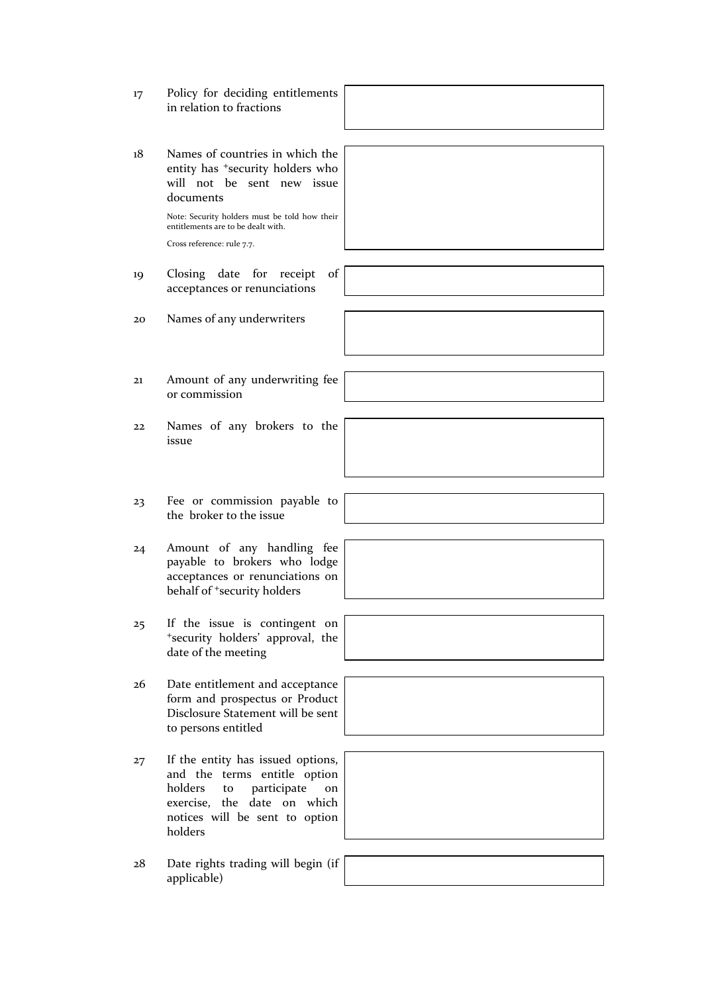- 17 Policy for deciding entitlements in relation to fractions
- 18 Names of countries in which the entity has <sup>+</sup>security holders who will not be sent new issue documents

Note: Security holders must be told how their entitlements are to be dealt with.

Cross reference: rule 7.7.

- 19 Closing date for receipt of acceptances or renunciations
- 20 Names of any underwriters
- 21 Amount of any underwriting fee or commission
- 22 Names of any brokers to the issue
- 23 Fee or commission payable to the broker to the issue
- 24 Amount of any handling fee payable to brokers who lodge acceptances or renunciations on behalf of <sup>+</sup>security holders
- 25 If the issue is contingent on <sup>+</sup>security holders' approval, the date of the meeting
- 26 Date entitlement and acceptance form and prospectus or Product Disclosure Statement will be sent to persons entitled
- 27 If the entity has issued options, and the terms entitle option holders to participate on exercise, the date on which notices will be sent to option holders
- 28 Date rights trading will begin (if applicable)

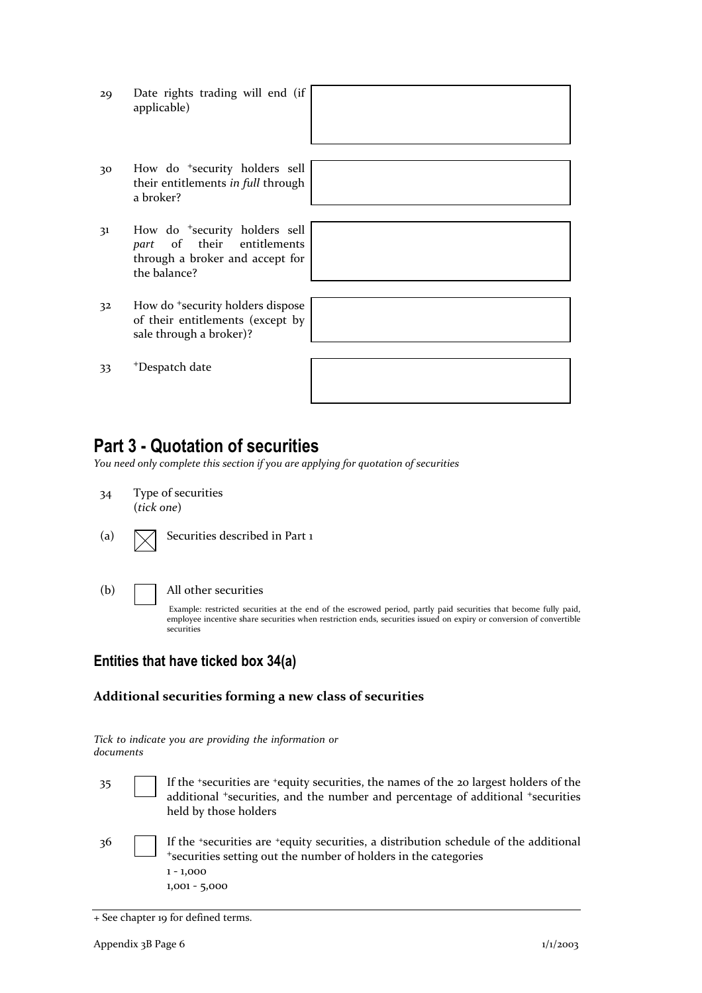- 29 Date rights trading will end (if applicable)
- 30 How do <sup>+</sup>security holders sell their entitlements in full through a broker?
- 31 How do <sup>+</sup>security holders sell part of their entitlements through a broker and accept for the balance?
- 32 How do <sup>+</sup>security holders dispose of their entitlements (except by sale through a broker)?

33 <sup>+</sup>Despatch date



## Part 3 - Quotation of securities

You need only complete this section if you are applying for quotation of securities

- 34 Type of securities (tick one)
- (a)  $\Box$  Securities described in Part 1
- 

#### (b) All other securities

Example: restricted securities at the end of the escrowed period, partly paid securities that become fully paid, employee incentive share securities when restriction ends, securities issued on expiry or conversion of convertible securities

### Entities that have ticked box 34(a)

#### Additional securities forming a new class of securities

|           |  |  | Tick to indicate you are providing the information or |  |
|-----------|--|--|-------------------------------------------------------|--|
| documents |  |  |                                                       |  |

- 35 If the <sup>+</sup>securities are <sup>+</sup>equity securities, the names of the 20 largest holders of the additional <sup>+</sup>securities, and the number and percentage of additional <sup>+</sup>securities held by those holders
- 36 If the <sup>+</sup>securities are <sup>+</sup>equity securities, a distribution schedule of the additional <sup>+</sup>securities setting out the number of holders in the categories 1 - 1,000 1,001 - 5,000

<sup>+</sup> See chapter 19 for defined terms.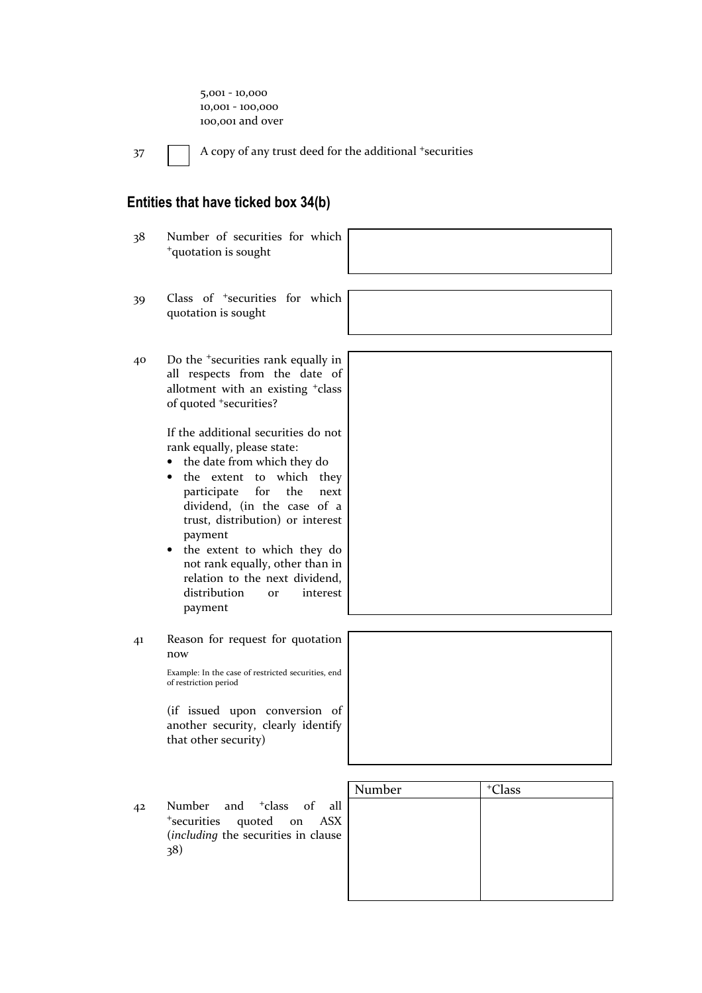5,001 - 10,000 10,001 - 100,000 100,001 and over

37 A copy of any trust deed for the additional +securities

### Entities that have ticked box 34(b)

- 38 Number of securities for which <sup>+</sup>quotation is sought 39 Class of <sup>+</sup>securities for which quotation is sought 40 Do the <sup>+</sup>securities rank equally in all respects from the date of allotment with an existing <sup>+</sup>class of quoted <sup>+</sup>securities? If the additional securities do not rank equally, please state: • the date from which they do the extent to which they participate for the next dividend, (in the case of a trust, distribution) or interest payment the extent to which they do not rank equally, other than in relation to the next dividend, distribution or interest payment 41 Reason for request for quotation now Example: In the case of restricted securities, end of restriction period (if issued upon conversion of another security, clearly identify that other security) Number | +Class 42 Number and <sup>+</sup>class of all
- <sup>+</sup>securities quoted on ASX (including the securities in clause 38)